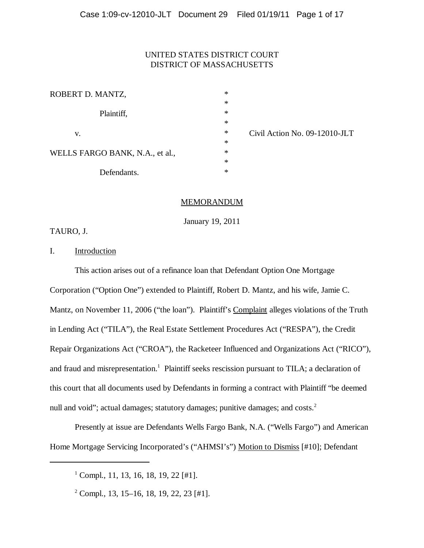# UNITED STATES DISTRICT COURT DISTRICT OF MASSACHUSETTS

| ROBERT D. MANTZ,                | $\ast$ |
|---------------------------------|--------|
|                                 | $\ast$ |
| Plaintiff,                      | $\ast$ |
|                                 | $\ast$ |
| V.                              | $\ast$ |
|                                 | $\ast$ |
| WELLS FARGO BANK, N.A., et al., | $\ast$ |
|                                 | $\ast$ |
| Defendants.                     | $\ast$ |

\* Civil Action No. 09-12010-JLT

## MEMORANDUM

January 19, 2011

TAURO, J.

I. Introduction

This action arises out of a refinance loan that Defendant Option One Mortgage Corporation ("Option One") extended to Plaintiff, Robert D. Mantz, and his wife, Jamie C. Mantz, on November 11, 2006 ("the loan"). Plaintiff's Complaint alleges violations of the Truth in Lending Act ("TILA"), the Real Estate Settlement Procedures Act ("RESPA"), the Credit Repair Organizations Act ("CROA"), the Racketeer Influenced and Organizations Act ("RICO"), and fraud and misrepresentation.<sup>1</sup> Plaintiff seeks rescission pursuant to TILA; a declaration of this court that all documents used by Defendants in forming a contract with Plaintiff "be deemed null and void"; actual damages; statutory damages; punitive damages; and costs.<sup>2</sup>

Presently at issue are Defendants Wells Fargo Bank, N.A. ("Wells Fargo") and American Home Mortgage Servicing Incorporated's ("AHMSI's") Motion to Dismiss [#10]; Defendant

1 Compl., 11, 13, 16, 18, 19, 22 [#1].

2 Compl., 13, 15–16, 18, 19, 22, 23 [#1].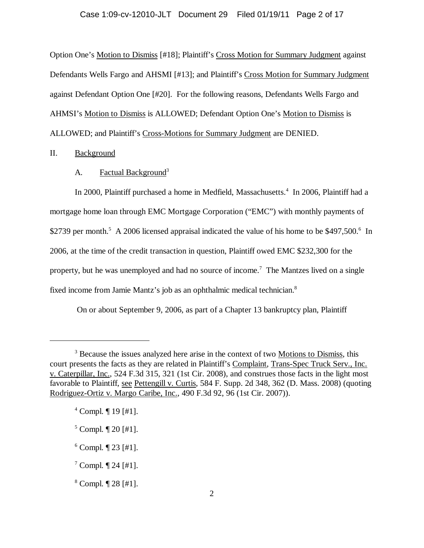#### Case 1:09-cv-12010-JLT Document 29 Filed 01/19/11 Page 2 of 17

Option One's Motion to Dismiss [#18]; Plaintiff's Cross Motion for Summary Judgment against Defendants Wells Fargo and AHSMI [#13]; and Plaintiff's Cross Motion for Summary Judgment against Defendant Option One [#20]. For the following reasons, Defendants Wells Fargo and AHMSI's Motion to Dismiss is ALLOWED; Defendant Option One's Motion to Dismiss is ALLOWED; and Plaintiff's Cross-Motions for Summary Judgment are DENIED.

### II. Background

# A. Factual Background<sup>3</sup>

In 2000, Plaintiff purchased a home in Medfield, Massachusetts.<sup>4</sup> In 2006, Plaintiff had a mortgage home loan through EMC Mortgage Corporation ("EMC") with monthly payments of \$2739 per month.<sup>5</sup> A 2006 licensed appraisal indicated the value of his home to be \$497,500.<sup>6</sup> In 2006, at the time of the credit transaction in question, Plaintiff owed EMC \$232,300 for the property, but he was unemployed and had no source of income.<sup>7</sup> The Mantzes lived on a single fixed income from Jamie Mantz's job as an ophthalmic medical technician.8

On or about September 9, 2006, as part of a Chapter 13 bankruptcy plan, Plaintiff

<sup>&</sup>lt;sup>3</sup> Because the issues analyzed here arise in the context of two Motions to Dismiss, this court presents the facts as they are related in Plaintiff's Complaint, Trans-Spec Truck Serv., Inc. v. Caterpillar, Inc., 524 F.3d 315, 321 (1st Cir. 2008), and construes those facts in the light most favorable to Plaintiff, see Pettengill v. Curtis, 584 F. Supp. 2d 348, 362 (D. Mass. 2008) (quoting Rodriguez-Ortiz v. Margo Caribe, Inc., 490 F.3d 92, 96 (1st Cir. 2007)).

<sup>4</sup> Compl. ¶ 19 [#1].

<sup>5</sup> Compl. ¶ 20 [#1].

 $6$  Compl.  $\P$  23 [#1].

 $7$  Compl.  $\P$  24 [#1].

<sup>8</sup> Compl. ¶ 28 [#1].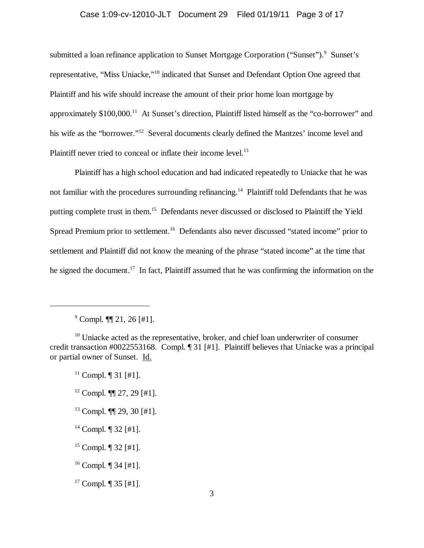### Case 1:09-cv-12010-JLT Document 29 Filed 01/19/11 Page 3 of 17

submitted a loan refinance application to Sunset Mortgage Corporation ("Sunset").<sup>9</sup> Sunset's representative, "Miss Uniacke,"10 indicated that Sunset and Defendant Option One agreed that Plaintiff and his wife should increase the amount of their prior home loan mortgage by approximately \$100,000.<sup>11</sup> At Sunset's direction, Plaintiff listed himself as the "co-borrower" and his wife as the "borrower."<sup>12</sup> Several documents clearly defined the Mantzes' income level and Plaintiff never tried to conceal or inflate their income level.<sup>13</sup>

Plaintiff has a high school education and had indicated repeatedly to Uniacke that he was not familiar with the procedures surrounding refinancing.<sup>14</sup> Plaintiff told Defendants that he was putting complete trust in them.15 Defendants never discussed or disclosed to Plaintiff the Yield Spread Premium prior to settlement.<sup>16</sup> Defendants also never discussed "stated income" prior to settlement and Plaintiff did not know the meaning of the phrase "stated income" at the time that he signed the document.<sup>17</sup> In fact, Plaintiff assumed that he was confirming the information on the

- $12$  Compl.  $\P\P$  27, 29 [#1].
- $13$  Compl.  $\P\P$  29, 30 [#1].
- <sup>14</sup> Compl.  $\P$  32 [#1].

 $9^9$  Compl.  $\P$  21, 26 [#1].

 $10$  Uniacke acted as the representative, broker, and chief loan underwriter of consumer credit transaction #0022553168. Compl. ¶ 31 [#1]. Plaintiff believes that Uniacke was a principal or partial owner of Sunset. Id.

 $11$  Compl.  $\P$  31 [#1].

<sup>&</sup>lt;sup>15</sup> Compl.  $\P$  32 [#1].

<sup>&</sup>lt;sup>16</sup> Compl.  $\P$  34 [#1].

<sup>&</sup>lt;sup>17</sup> Compl.  $\P$  35 [#1].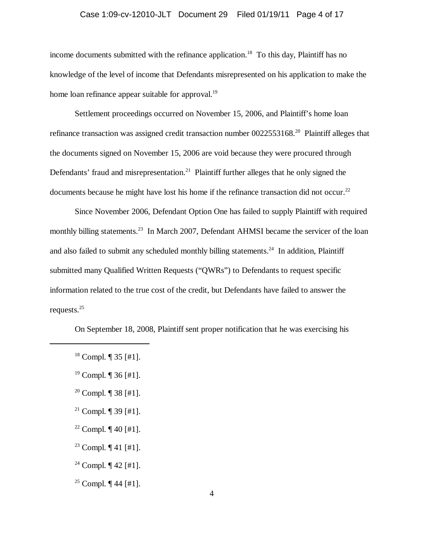#### Case 1:09-cv-12010-JLT Document 29 Filed 01/19/11 Page 4 of 17

income documents submitted with the refinance application.<sup>18</sup> To this day, Plaintiff has no knowledge of the level of income that Defendants misrepresented on his application to make the home loan refinance appear suitable for approval.<sup>19</sup>

Settlement proceedings occurred on November 15, 2006, and Plaintiff's home loan refinance transaction was assigned credit transaction number 0022553168.20 Plaintiff alleges that the documents signed on November 15, 2006 are void because they were procured through Defendants' fraud and misrepresentation.<sup>21</sup> Plaintiff further alleges that he only signed the documents because he might have lost his home if the refinance transaction did not occur.<sup>22</sup>

Since November 2006, Defendant Option One has failed to supply Plaintiff with required monthly billing statements.<sup>23</sup> In March 2007, Defendant AHMSI became the servicer of the loan and also failed to submit any scheduled monthly billing statements.<sup>24</sup> In addition, Plaintiff submitted many Qualified Written Requests ("QWRs") to Defendants to request specific information related to the true cost of the credit, but Defendants have failed to answer the requests.25

On September 18, 2008, Plaintiff sent proper notification that he was exercising his

- <sup>20</sup> Compl.  $\P$  38 [#1].
- <sup>21</sup> Compl.  $\P$  39 [#1].
- <sup>22</sup> Compl.  $\P$  40 [#1].
- <sup>23</sup> Compl.  $\P$  41 [#1].
- <sup>24</sup> Compl.  $\P$  42 [#1].
- <sup>25</sup> Compl.  $\P$  44 [#1].

 $18$  Compl.  $\P$  35 [#1].

<sup>&</sup>lt;sup>19</sup> Compl.  $\P$  36 [#1].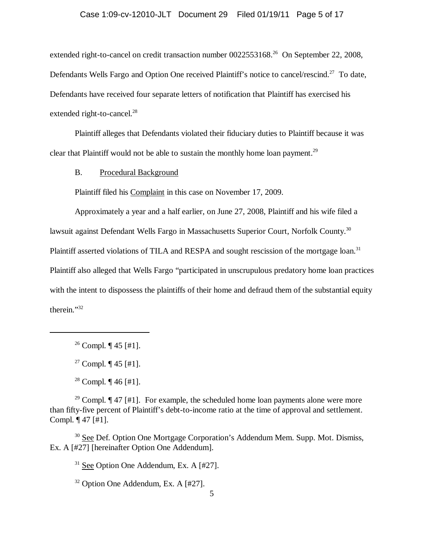# Case 1:09-cv-12010-JLT Document 29 Filed 01/19/11 Page 5 of 17

extended right-to-cancel on credit transaction number 0022553168<sup>26</sup> On September 22, 2008, Defendants Wells Fargo and Option One received Plaintiff's notice to cancel/rescind.<sup>27</sup> To date, Defendants have received four separate letters of notification that Plaintiff has exercised his extended right-to-cancel.<sup>28</sup>

Plaintiff alleges that Defendants violated their fiduciary duties to Plaintiff because it was clear that Plaintiff would not be able to sustain the monthly home loan payment.<sup>29</sup>

B. Procedural Background

Plaintiff filed his Complaint in this case on November 17, 2009.

Approximately a year and a half earlier, on June 27, 2008, Plaintiff and his wife filed a lawsuit against Defendant Wells Fargo in Massachusetts Superior Court, Norfolk County.<sup>30</sup> Plaintiff asserted violations of TILA and RESPA and sought rescission of the mortgage loan.<sup>31</sup> Plaintiff also alleged that Wells Fargo "participated in unscrupulous predatory home loan practices with the intent to dispossess the plaintiffs of their home and defraud them of the substantial equity therein."32

<sup>29</sup> Compl.  $\P$  47 [#1]. For example, the scheduled home loan payments alone were more than fifty-five percent of Plaintiff's debt-to-income ratio at the time of approval and settlement. Compl. ¶ 47 [#1].

<sup>30</sup> See Def. Option One Mortgage Corporation's Addendum Mem. Supp. Mot. Dismiss, Ex. A [#27] [hereinafter Option One Addendum].

 $31$  See Option One Addendum, Ex. A [#27].

 $32$  Option One Addendum, Ex. A [#27].

<sup>&</sup>lt;sup>26</sup> Compl.  $\P$  45 [#1].

<sup>&</sup>lt;sup>27</sup> Compl.  $\P$  45 [#1].

<sup>&</sup>lt;sup>28</sup> Compl.  $\P$  46 [#1].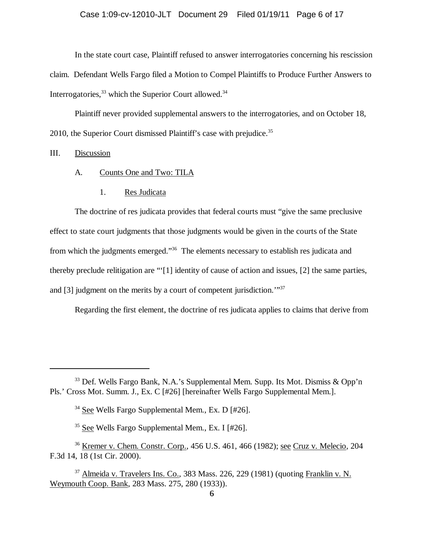In the state court case, Plaintiff refused to answer interrogatories concerning his rescission claim. Defendant Wells Fargo filed a Motion to Compel Plaintiffs to Produce Further Answers to Interrogatories,  $33$  which the Superior Court allowed.<sup>34</sup>

Plaintiff never provided supplemental answers to the interrogatories, and on October 18, 2010, the Superior Court dismissed Plaintiff's case with prejudice.<sup>35</sup>

### III. Discussion

- A. Counts One and Two: TILA
	- 1. Res Judicata

The doctrine of res judicata provides that federal courts must "give the same preclusive effect to state court judgments that those judgments would be given in the courts of the State from which the judgments emerged."36 The elements necessary to establish res judicata and thereby preclude relitigation are "'[1] identity of cause of action and issues, [2] the same parties, and [3] judgment on the merits by a court of competent jurisdiction.'"37

Regarding the first element, the doctrine of res judicata applies to claims that derive from

 $33$  Def. Wells Fargo Bank, N.A.'s Supplemental Mem. Supp. Its Mot. Dismiss & Opp'n Pls.' Cross Mot. Summ. J., Ex. C [#26] [hereinafter Wells Fargo Supplemental Mem.].

<sup>34</sup> See Wells Fargo Supplemental Mem., Ex. D [#26].

<sup>35</sup> See Wells Fargo Supplemental Mem., Ex. I [#26].

<sup>36</sup> Kremer v. Chem. Constr. Corp., 456 U.S. 461, 466 (1982); see Cruz v. Melecio, 204 F.3d 14, 18 (1st Cir. 2000).

 $37$  Almeida v. Travelers Ins. Co., 383 Mass. 226, 229 (1981) (quoting Franklin v. N. Weymouth Coop. Bank, 283 Mass. 275, 280 (1933)).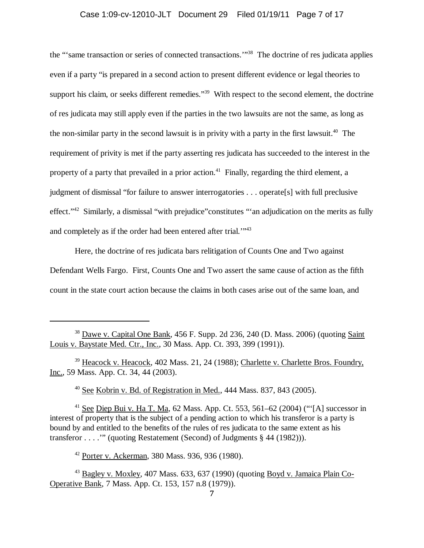#### Case 1:09-cv-12010-JLT Document 29 Filed 01/19/11 Page 7 of 17

the "'same transaction or series of connected transactions.'"38 The doctrine of res judicata applies even if a party "is prepared in a second action to present different evidence or legal theories to support his claim, or seeks different remedies."<sup>39</sup> With respect to the second element, the doctrine of res judicata may still apply even if the parties in the two lawsuits are not the same, as long as the non-similar party in the second lawsuit is in privity with a party in the first lawsuit.<sup>40</sup> The requirement of privity is met if the party asserting res judicata has succeeded to the interest in the property of a party that prevailed in a prior action.<sup>41</sup> Finally, regarding the third element, a judgment of dismissal "for failure to answer interrogatories . . . operate[s] with full preclusive effect."42 Similarly, a dismissal "with prejudice"constitutes "'an adjudication on the merits as fully and completely as if the order had been entered after trial."<sup>43</sup>

Here, the doctrine of res judicata bars relitigation of Counts One and Two against Defendant Wells Fargo. First, Counts One and Two assert the same cause of action as the fifth count in the state court action because the claims in both cases arise out of the same loan, and

<sup>39</sup> Heacock v. Heacock, 402 Mass. 21, 24 (1988); Charlette v. Charlette Bros. Foundry, Inc., 59 Mass. App. Ct. 34, 44 (2003).

 $40$  See Kobrin v. Bd. of Registration in Med., 444 Mass. 837, 843 (2005).

<sup>41</sup> See Diep Bui v. Ha T. Ma, 62 Mass. App. Ct. 553, 561–62 (2004) (" $[A]$  successor in interest of property that is the subject of a pending action to which his transferor is a party is bound by and entitled to the benefits of the rules of res judicata to the same extent as his transferor . . . .'" (quoting Restatement (Second) of Judgments § 44 (1982))).

42 Porter v. Ackerman, 380 Mass. 936, 936 (1980).

43 Bagley v. Moxley, 407 Mass. 633, 637 (1990) (quoting Boyd v. Jamaica Plain Co-Operative Bank, 7 Mass. App. Ct. 153, 157 n.8 (1979)).

<sup>&</sup>lt;sup>38</sup> Dawe v. Capital One Bank, 456 F. Supp. 2d 236, 240 (D. Mass. 2006) (quoting Saint Louis v. Baystate Med. Ctr., Inc., 30 Mass. App. Ct. 393, 399 (1991)).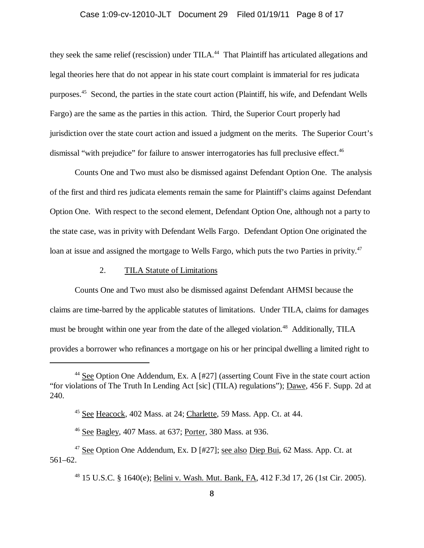#### Case 1:09-cv-12010-JLT Document 29 Filed 01/19/11 Page 8 of 17

they seek the same relief (rescission) under TILA.<sup>44</sup> That Plaintiff has articulated allegations and legal theories here that do not appear in his state court complaint is immaterial for res judicata purposes.45 Second, the parties in the state court action (Plaintiff, his wife, and Defendant Wells Fargo) are the same as the parties in this action. Third, the Superior Court properly had jurisdiction over the state court action and issued a judgment on the merits. The Superior Court's dismissal "with prejudice" for failure to answer interrogatories has full preclusive effect.<sup>46</sup>

Counts One and Two must also be dismissed against Defendant Option One. The analysis of the first and third res judicata elements remain the same for Plaintiff's claims against Defendant Option One. With respect to the second element, Defendant Option One, although not a party to the state case, was in privity with Defendant Wells Fargo. Defendant Option One originated the loan at issue and assigned the mortgage to Wells Fargo, which puts the two Parties in privity.<sup>47</sup>

### 2. TILA Statute of Limitations

Counts One and Two must also be dismissed against Defendant AHMSI because the claims are time-barred by the applicable statutes of limitations. Under TILA, claims for damages must be brought within one year from the date of the alleged violation.<sup>48</sup> Additionally, TILA provides a borrower who refinances a mortgage on his or her principal dwelling a limited right to

<sup>&</sup>lt;sup>44</sup> See Option One Addendum, Ex. A  $[#27]$  (asserting Count Five in the state court action "for violations of The Truth In Lending Act [sic] (TILA) regulations"); Dawe, 456 F. Supp. 2d at 240.

<sup>45</sup> See Heacock, 402 Mass. at 24; Charlette, 59 Mass. App. Ct. at 44.

<sup>46</sup> See Bagley, 407 Mass. at 637; Porter, 380 Mass. at 936.

<sup>&</sup>lt;sup>47</sup> See Option One Addendum, Ex. D [#27]; see also Diep Bui, 62 Mass. App. Ct. at 561–62.

<sup>48 15</sup> U.S.C. § 1640(e); Belini v. Wash. Mut. Bank, FA, 412 F.3d 17, 26 (1st Cir. 2005).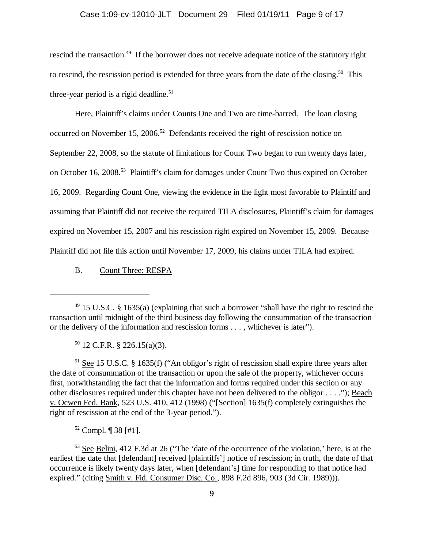### Case 1:09-cv-12010-JLT Document 29 Filed 01/19/11 Page 9 of 17

rescind the transaction.<sup>49</sup> If the borrower does not receive adequate notice of the statutory right to rescind, the rescission period is extended for three years from the date of the closing.<sup>50</sup> This three-year period is a rigid deadline.<sup>51</sup>

Here, Plaintiff's claims under Counts One and Two are time-barred. The loan closing occurred on November 15, 2006.<sup>52</sup> Defendants received the right of rescission notice on September 22, 2008, so the statute of limitations for Count Two began to run twenty days later, on October 16, 2008.<sup>53</sup> Plaintiff's claim for damages under Count Two thus expired on October 16, 2009. Regarding Count One, viewing the evidence in the light most favorable to Plaintiff and assuming that Plaintiff did not receive the required TILA disclosures, Plaintiff's claim for damages expired on November 15, 2007 and his rescission right expired on November 15, 2009. Because Plaintiff did not file this action until November 17, 2009, his claims under TILA had expired.

B. Count Three: RESPA

 $50$  12 C.F.R. § 226.15(a)(3).

 $<sup>51</sup>$  See 15 U.S.C. § 1635(f) ("An obligor's right of rescission shall expire three years after</sup> the date of consummation of the transaction or upon the sale of the property, whichever occurs first, notwithstanding the fact that the information and forms required under this section or any other disclosures required under this chapter have not been delivered to the obligor . . . ."); Beach v. Ocwen Fed. Bank, 523 U.S. 410, 412 (1998) ("[Section] 1635(f) completely extinguishes the right of rescission at the end of the 3-year period.").

52 Compl. ¶ 38 [#1].

53 See Belini, 412 F.3d at 26 ("The 'date of the occurrence of the violation,' here, is at the earliest the date that [defendant] received [plaintiffs'] notice of rescission; in truth, the date of that occurrence is likely twenty days later, when [defendant's] time for responding to that notice had expired." (citing Smith v. Fid. Consumer Disc. Co., 898 F.2d 896, 903 (3d Cir. 1989))).

 $49$  15 U.S.C. § 1635(a) (explaining that such a borrower "shall have the right to rescind the transaction until midnight of the third business day following the consummation of the transaction or the delivery of the information and rescission forms . . . , whichever is later").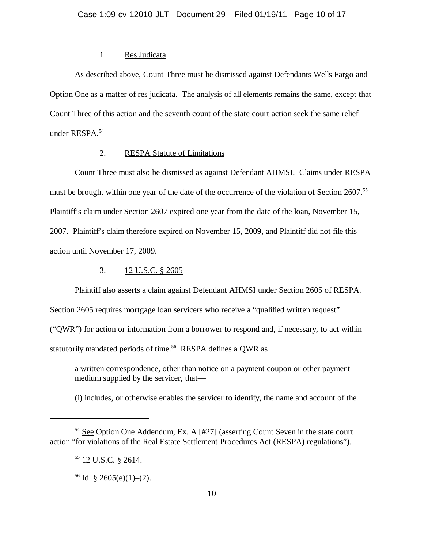### 1. Res Judicata

As described above, Count Three must be dismissed against Defendants Wells Fargo and Option One as a matter of res judicata. The analysis of all elements remains the same, except that Count Three of this action and the seventh count of the state court action seek the same relief under RESPA.54

### 2. RESPA Statute of Limitations

Count Three must also be dismissed as against Defendant AHMSI. Claims under RESPA must be brought within one year of the date of the occurrence of the violation of Section 2607.<sup>55</sup> Plaintiff's claim under Section 2607 expired one year from the date of the loan, November 15, 2007. Plaintiff's claim therefore expired on November 15, 2009, and Plaintiff did not file this action until November 17, 2009.

3. 12 U.S.C. § 2605

Plaintiff also asserts a claim against Defendant AHMSI under Section 2605 of RESPA.

Section 2605 requires mortgage loan servicers who receive a "qualified written request"

("QWR") for action or information from a borrower to respond and, if necessary, to act within

statutorily mandated periods of time.<sup>56</sup> RESPA defines a QWR as

a written correspondence, other than notice on a payment coupon or other payment medium supplied by the servicer, that—

(i) includes, or otherwise enables the servicer to identify, the name and account of the

 $54$  See Option One Addendum, Ex. A [#27] (asserting Count Seven in the state court action "for violations of the Real Estate Settlement Procedures Act (RESPA) regulations").

<sup>55 12</sup> U.S.C. § 2614.

 $56$  Id. § 2605(e)(1)–(2).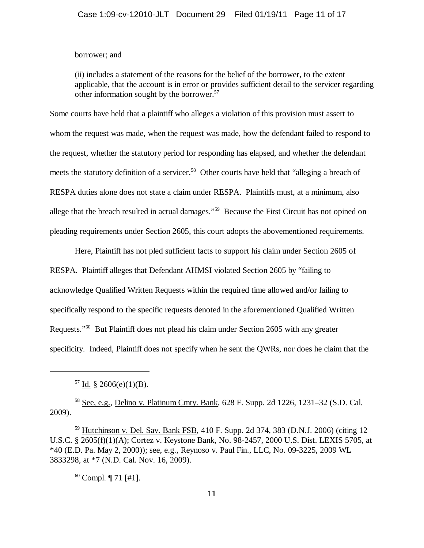### borrower; and

(ii) includes a statement of the reasons for the belief of the borrower, to the extent applicable, that the account is in error or provides sufficient detail to the servicer regarding other information sought by the borrower.<sup>57</sup>

Some courts have held that a plaintiff who alleges a violation of this provision must assert to whom the request was made, when the request was made, how the defendant failed to respond to the request, whether the statutory period for responding has elapsed, and whether the defendant meets the statutory definition of a servicer.<sup>58</sup> Other courts have held that "alleging a breach of RESPA duties alone does not state a claim under RESPA. Plaintiffs must, at a minimum, also allege that the breach resulted in actual damages."59 Because the First Circuit has not opined on pleading requirements under Section 2605, this court adopts the abovementioned requirements.

Here, Plaintiff has not pled sufficient facts to support his claim under Section 2605 of RESPA. Plaintiff alleges that Defendant AHMSI violated Section 2605 by "failing to acknowledge Qualified Written Requests within the required time allowed and/or failing to specifically respond to the specific requests denoted in the aforementioned Qualified Written Requests."60 But Plaintiff does not plead his claim under Section 2605 with any greater specificity. Indeed, Plaintiff does not specify when he sent the QWRs, nor does he claim that the

58 See, e.g., Delino v. Platinum Cmty. Bank, 628 F. Supp. 2d 1226, 1231–32 (S.D. Cal. 2009).

 $60$  Compl.  $\P$  71 [#1].

 $57$  Id. § 2606(e)(1)(B).

<sup>59</sup> Hutchinson v. Del. Sav. Bank FSB, 410 F. Supp. 2d 374, 383 (D.N.J. 2006) (citing 12 U.S.C. § 2605(f)(1)(A); Cortez v. Keystone Bank, No. 98-2457, 2000 U.S. Dist. LEXIS 5705, at \*40 (E.D. Pa. May 2, 2000)); see, e.g., Reynoso v. Paul Fin., LLC, No. 09-3225, 2009 WL 3833298, at \*7 (N.D. Cal. Nov. 16, 2009).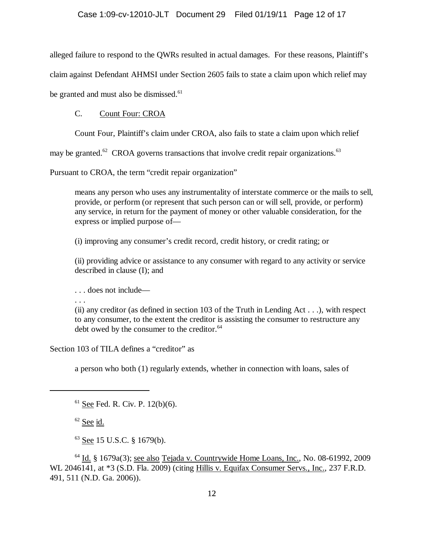alleged failure to respond to the QWRs resulted in actual damages. For these reasons, Plaintiff's claim against Defendant AHMSI under Section 2605 fails to state a claim upon which relief may be granted and must also be dismissed.<sup>61</sup>

# C. Count Four: CROA

Count Four, Plaintiff's claim under CROA, also fails to state a claim upon which relief

may be granted. $62$  CROA governs transactions that involve credit repair organizations.  $63$ 

Pursuant to CROA, the term "credit repair organization"

means any person who uses any instrumentality of interstate commerce or the mails to sell, provide, or perform (or represent that such person can or will sell, provide, or perform) any service, in return for the payment of money or other valuable consideration, for the express or implied purpose of—

(i) improving any consumer's credit record, credit history, or credit rating; or

(ii) providing advice or assistance to any consumer with regard to any activity or service described in clause (I); and

. . . does not include—

. . .

(ii) any creditor (as defined in section 103 of the Truth in Lending Act  $\dots$ ), with respect to any consumer, to the extent the creditor is assisting the consumer to restructure any debt owed by the consumer to the creditor.<sup>64</sup>

Section 103 of TILA defines a "creditor" as

a person who both (1) regularly extends, whether in connection with loans, sales of

 $61$  See Fed. R. Civ. P. 12(b)(6).

 $62$  See id.

63 See 15 U.S.C. § 1679(b).

 $64$  Id. § 1679a(3); see also Tejada v. Countrywide Home Loans, Inc., No. 08-61992, 2009 WL 2046141, at \*3 (S.D. Fla. 2009) (citing Hillis v. Equifax Consumer Servs., Inc., 237 F.R.D. 491, 511 (N.D. Ga. 2006)).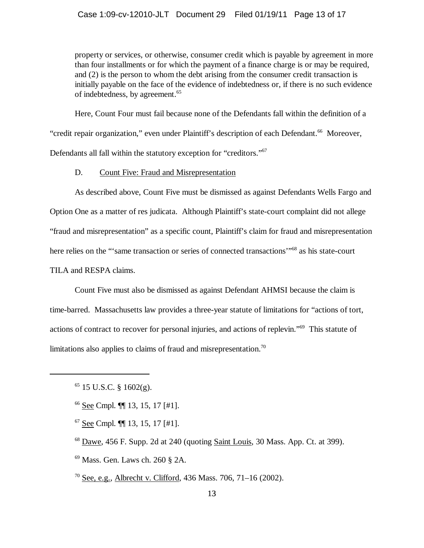property or services, or otherwise, consumer credit which is payable by agreement in more than four installments or for which the payment of a finance charge is or may be required, and (2) is the person to whom the debt arising from the consumer credit transaction is initially payable on the face of the evidence of indebtedness or, if there is no such evidence of indebtedness, by agreement.<sup>65</sup>

Here, Count Four must fail because none of the Defendants fall within the definition of a "credit repair organization," even under Plaintiff's description of each Defendant.<sup>66</sup> Moreover, Defendants all fall within the statutory exception for "creditors."67

D. Count Five: Fraud and Misrepresentation

As described above, Count Five must be dismissed as against Defendants Wells Fargo and Option One as a matter of res judicata. Although Plaintiff's state-court complaint did not allege "fraud and misrepresentation" as a specific count, Plaintiff's claim for fraud and misrepresentation here relies on the "'same transaction or series of connected transactions"<sup>68</sup> as his state-court TILA and RESPA claims.

Count Five must also be dismissed as against Defendant AHMSI because the claim is time-barred. Massachusetts law provides a three-year statute of limitations for "actions of tort, actions of contract to recover for personal injuries, and actions of replevin."69 This statute of limitations also applies to claims of fraud and misrepresentation.<sup>70</sup>

- 66 See Cmpl. ¶¶ 13, 15, 17 [#1].
- $67$  See Cmpl.  $\P\P$  13, 15, 17 [#1].
- $68$  Dawe, 456 F. Supp. 2d at 240 (quoting Saint Louis, 30 Mass. App. Ct. at 399).
- 69 Mass. Gen. Laws ch. 260 § 2A.
- <sup>70</sup> See, e.g., Albrecht v. Clifford, 436 Mass. 706, 71–16 (2002).

 $65$  15 U.S.C. § 1602(g).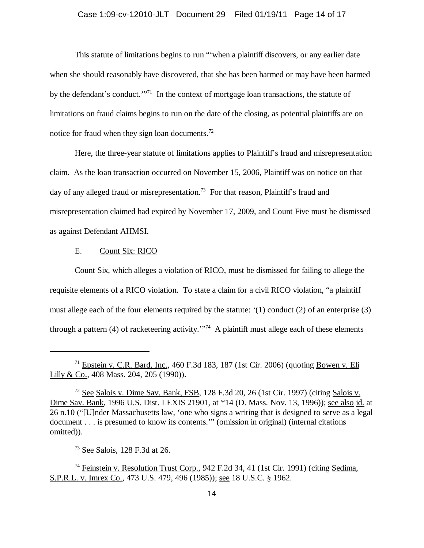This statute of limitations begins to run "'when a plaintiff discovers, or any earlier date when she should reasonably have discovered, that she has been harmed or may have been harmed by the defendant's conduct.'"<sup>71</sup> In the context of mortgage loan transactions, the statute of limitations on fraud claims begins to run on the date of the closing, as potential plaintiffs are on notice for fraud when they sign loan documents.<sup>72</sup>

Here, the three-year statute of limitations applies to Plaintiff's fraud and misrepresentation claim. As the loan transaction occurred on November 15, 2006, Plaintiff was on notice on that day of any alleged fraud or misrepresentation.<sup>73</sup> For that reason, Plaintiff's fraud and misrepresentation claimed had expired by November 17, 2009, and Count Five must be dismissed as against Defendant AHMSI.

### E. Count Six: RICO

Count Six, which alleges a violation of RICO, must be dismissed for failing to allege the requisite elements of a RICO violation. To state a claim for a civil RICO violation, "a plaintiff must allege each of the four elements required by the statute: '(1) conduct (2) of an enterprise (3) through a pattern (4) of racketeering activity. $\mathbb{R}^{74}$  A plaintiff must allege each of these elements

 $71$  Epstein v. C.R. Bard, Inc., 460 F.3d 183, 187 (1st Cir. 2006) (quoting Bowen v. Eli Lilly & Co., 408 Mass. 204, 205 (1990)).

 $72$  See Salois v. Dime Sav. Bank, FSB, 128 F.3d 20, 26 (1st Cir. 1997) (citing Salois v. Dime Sav. Bank, 1996 U.S. Dist. LEXIS 21901, at \*14 (D. Mass. Nov. 13, 1996)); see also id. at 26 n.10 ("[U]nder Massachusetts law, 'one who signs a writing that is designed to serve as a legal document . . . is presumed to know its contents.'" (omission in original) (internal citations omitted)).

<sup>73</sup> See Salois, 128 F.3d at 26.

<sup>&</sup>lt;sup>74</sup> Feinstein v. Resolution Trust Corp., 942 F.2d 34, 41 (1st Cir. 1991) (citing Sedima, S.P.R.L. v. Imrex Co., 473 U.S. 479, 496 (1985)); see 18 U.S.C. § 1962.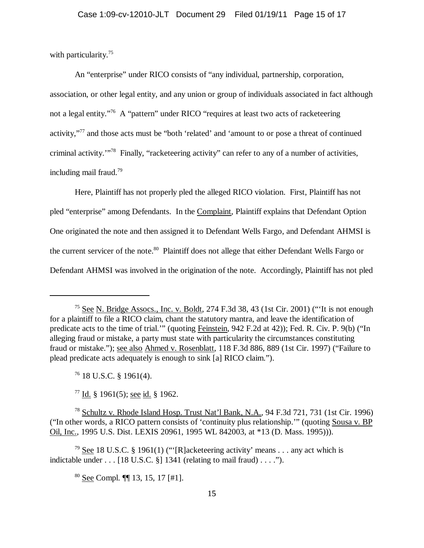with particularity.<sup>75</sup>

An "enterprise" under RICO consists of "any individual, partnership, corporation, association, or other legal entity, and any union or group of individuals associated in fact although not a legal entity."<sup>76</sup> A "pattern" under RICO "requires at least two acts of racketeering activity,"77 and those acts must be "both 'related' and 'amount to or pose a threat of continued criminal activity.'"78 Finally, "racketeering activity" can refer to any of a number of activities, including mail fraud.79

Here, Plaintiff has not properly pled the alleged RICO violation. First, Plaintiff has not pled "enterprise" among Defendants. In the Complaint, Plaintiff explains that Defendant Option One originated the note and then assigned it to Defendant Wells Fargo, and Defendant AHMSI is the current servicer of the note.<sup>80</sup> Plaintiff does not allege that either Defendant Wells Fargo or Defendant AHMSI was involved in the origination of the note. Accordingly, Plaintiff has not pled

<sup>75</sup> See N. Bridge Assocs., Inc. v. Boldt, 274 F.3d 38, 43 (1st Cir. 2001) ("'It is not enough for a plaintiff to file a RICO claim, chant the statutory mantra, and leave the identification of predicate acts to the time of trial.'" (quoting Feinstein, 942 F.2d at 42)); Fed. R. Civ. P. 9(b) ("In alleging fraud or mistake, a party must state with particularity the circumstances constituting fraud or mistake."); see also Ahmed v. Rosenblatt, 118 F.3d 886, 889 (1st Cir. 1997) ("Failure to plead predicate acts adequately is enough to sink [a] RICO claim.").

 $76$  18 U.S.C. § 1961(4).

 $77$  Id. § 1961(5); see id. § 1962.

<sup>78</sup> Schultz v. Rhode Island Hosp. Trust Nat'l Bank, N.A., 94 F.3d 721, 731 (1st Cir. 1996) ("In other words, a RICO pattern consists of 'continuity plus relationship.'" (quoting Sousa v. BP Oil, Inc., 1995 U.S. Dist. LEXIS 20961, 1995 WL 842003, at \*13 (D. Mass. 1995))).

<sup>&</sup>lt;sup>79</sup> See 18 U.S.C. § 1961(1) ("'[R]acketeering activity' means . . . any act which is indictable under  $\dots$  [18 U.S.C. §] 1341 (relating to mail fraud)  $\dots$  .").

<sup>80</sup> See Compl. ¶¶ 13, 15, 17 [#1].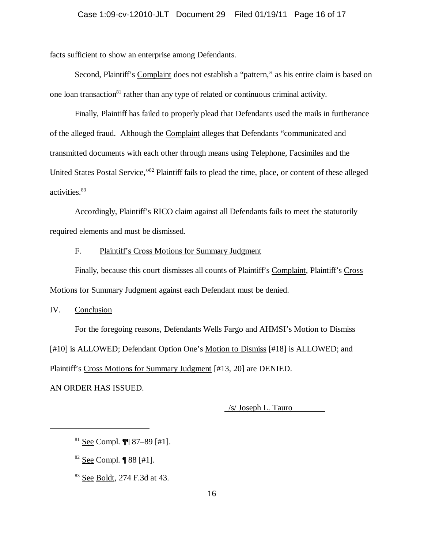facts sufficient to show an enterprise among Defendants.

Second, Plaintiff's Complaint does not establish a "pattern," as his entire claim is based on one loan transaction<sup>81</sup> rather than any type of related or continuous criminal activity.

Finally, Plaintiff has failed to properly plead that Defendants used the mails in furtherance of the alleged fraud. Although the Complaint alleges that Defendants "communicated and transmitted documents with each other through means using Telephone, Facsimiles and the United States Postal Service,"82 Plaintiff fails to plead the time, place, or content of these alleged activities.<sup>83</sup>

Accordingly, Plaintiff's RICO claim against all Defendants fails to meet the statutorily required elements and must be dismissed.

### F. Plaintiff's Cross Motions for Summary Judgment

Finally, because this court dismisses all counts of Plaintiff's Complaint, Plaintiff's Cross Motions for Summary Judgment against each Defendant must be denied.

IV. Conclusion

For the foregoing reasons, Defendants Wells Fargo and AHMSI's Motion to Dismiss [#10] is ALLOWED; Defendant Option One's Motion to Dismiss [#18] is ALLOWED; and Plaintiff's Cross Motions for Summary Judgment [#13, 20] are DENIED.

AN ORDER HAS ISSUED.

/s/ Joseph L. Tauro

 $82$  See Compl.  $\P$  88 [#1].

83 See Boldt, 274 F.3d at 43.

 $81$  See Compl. **[1]** 87–89 [#1].